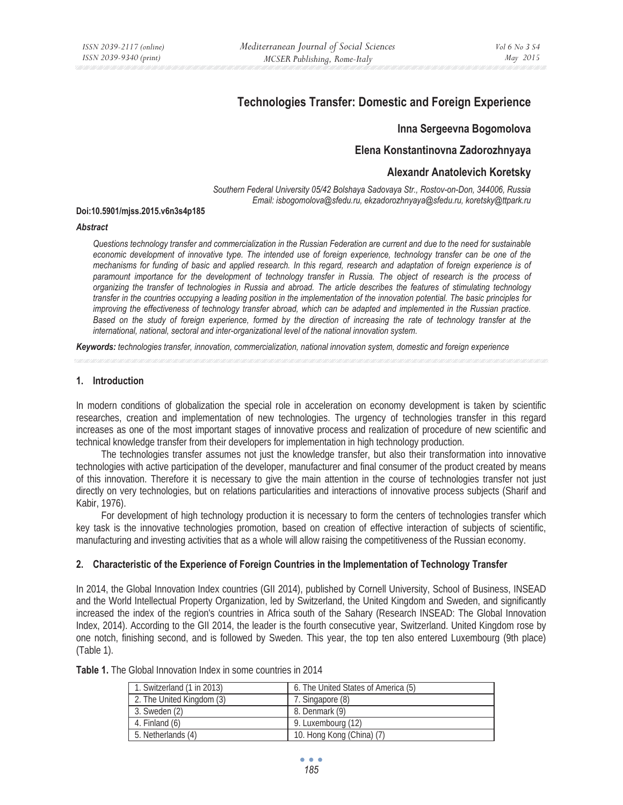# **Technologies Transfer: Domestic and Foreign Experience**

# **Inna Sergeevna Bogomolova**

# **Elena Konstantinovna Zadorozhnyaya**

## **Alexandr Anatolevich Koretsky**

*Southern Federal University 05/42 Bolshaya Sadovaya Str., Rostov-on-Don, 344006, Russia Email: isbogomolova@sfedu.ru, ekzadorozhnyaya@sfedu.ru, koretsky@ttpark.ru* 

#### **Doi:10.5901/mjss.2015.v6n3s4p185**

#### *Abstract*

*Questions technology transfer and commercialization in the Russian Federation are current and due to the need for sustainable economic development of innovative type. The intended use of foreign experience, technology transfer can be one of the mechanisms for funding of basic and applied research. In this regard, research and adaptation of foreign experience is of paramount importance for the development of technology transfer in Russia. The object of research is the process of organizing the transfer of technologies in Russia and abroad. The article describes the features of stimulating technology transfer in the countries occupying a leading position in the implementation of the innovation potential. The basic principles for improving the effectiveness of technology transfer abroad, which can be adapted and implemented in the Russian practice. Based on the study of foreign experience, formed by the direction of increasing the rate of technology transfer at the international, national, sectoral and inter-organizational level of the national innovation system.* 

*Keywords: technologies transfer, innovation, commercialization, national innovation system, domestic and foreign experience*

### **1. Introduction**

In modern conditions of globalization the special role in acceleration on economy development is taken by scientific researches, creation and implementation of new technologies. The urgency of technologies transfer in this regard increases as one of the most important stages of innovative process and realization of procedure of new scientific and technical knowledge transfer from their developers for implementation in high technology production.

The technologies transfer assumes not just the knowledge transfer, but also their transformation into innovative technologies with active participation of the developer, manufacturer and final consumer of the product created by means of this innovation. Therefore it is necessary to give the main attention in the course of technologies transfer not just directly on very technologies, but on relations particularities and interactions of innovative process subjects (Sharif and Kabir, 1976).

For development of high technology production it is necessary to form the centers of technologies transfer which key task is the innovative technologies promotion, based on creation of effective interaction of subjects of scientific, manufacturing and investing activities that as a whole will allow raising the competitiveness of the Russian economy.

## **2. Characteristic of the Experience of Foreign Countries in the Implementation of Technology Transfer**

In 2014, the Global Innovation Index countries (GII 2014), published by Cornell University, School of Business, INSEAD and the World Intellectual Property Organization, led by Switzerland, the United Kingdom and Sweden, and significantly increased the index of the region's countries in Africa south of the Sahary (Research INSEAD: The Global Innovation Index, 2014). According to the GII 2014, the leader is the fourth consecutive year, Switzerland. United Kingdom rose by one notch, finishing second, and is followed by Sweden. This year, the top ten also entered Luxembourg (9th place) (Table 1).

| 1. Switzerland (1 in 2013) | 6. The United States of America (5) |
|----------------------------|-------------------------------------|
| 2. The United Kingdom (3)  | 7. Singapore (8)                    |
| 3. Sweden (2)              | 8. Denmark (9)                      |
| 4. Finland $(6)$           | 9. Luxembourg (12)                  |
| 5. Netherlands (4)         | 10. Hong Kong (China) (7)           |

**Table 1.** The Global Innovation Index in some countries in 2014

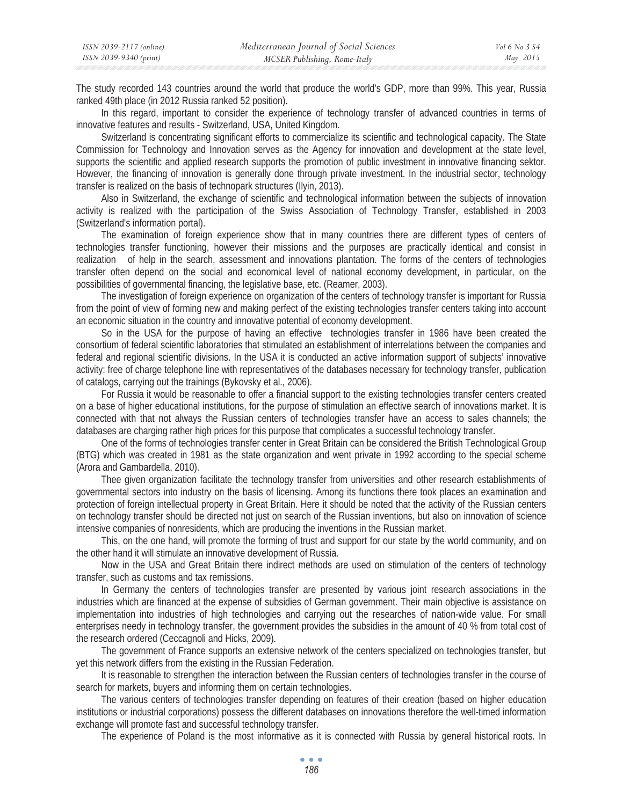| ISSN 2039-2117 (online) | Mediterranean Journal of Social Sciences | Vol 6 No 3 S4 |
|-------------------------|------------------------------------------|---------------|
| ISSN 2039-9340 (print)  | MCSER Publishing, Rome-Italy             | May 2015      |

The study recorded 143 countries around the world that produce the world's GDP, more than 99%. This year, Russia ranked 49th place (in 2012 Russia ranked 52 position).

In this regard, important to consider the experience of technology transfer of advanced countries in terms of innovative features and results - Switzerland, USA, United Kingdom.

Switzerland is concentrating significant efforts to commercialize its scientific and technological capacity. The State Commission for Technology and Innovation serves as the Agency for innovation and development at the state level, supports the scientific and applied research supports the promotion of public investment in innovative financing sektor. However, the financing of innovation is generally done through private investment. In the industrial sector, technology transfer is realized on the basis of technopark structures (Ilyin, 2013).

Also in Switzerland, the exchange of scientific and technological information between the subjects of innovation activity is realized with the participation of the Swiss Association of Technology Transfer, established in 2003 (Switzerland's information portal).

The examination of foreign experience show that in many countries there are different types of centers of technologies transfer functioning, however their missions and the purposes are practically identical and consist in realization of help in the search, assessment and innovations plantation. The forms of the centers of technologies transfer often depend on the social and economical level of national economy development, in particular, on the possibilities of governmental financing, the legislative base, etc. (Reamer, 2003).

The investigation of foreign experience on organization of the centers of technology transfer is important for Russia from the point of view of forming new and making perfect of the existing technologies transfer centers taking into account an economic situation in the country and innovative potential of economy development.

So in the USA for the purpose of having an effective technologies transfer in 1986 have been created the consortium of federal scientific laboratories that stimulated an establishment of interrelations between the companies and federal and regional scientific divisions. In the USA it is conducted an active information support of subjects' innovative activity: free of charge telephone line with representatives of the databases necessary for technology transfer, publication of catalogs, carrying out the trainings (Bykovsky et al., 2006).

For Russia it would be reasonable to offer a financial support to the existing technologies transfer centers created on a base of higher educational institutions, for the purpose of stimulation an effective search of innovations market. It is connected with that not always the Russian centers of technologies transfer have an access to sales channels; the databases are charging rather high prices for this purpose that complicates a successful technology transfer.

One of the forms of technologies transfer center in Great Britain can be considered the British Technological Group (BTG) which was created in 1981 as the state organization and went private in 1992 according to the special scheme (Arora and Gambardella, 2010).

Thee given organization facilitate the technology transfer from universities and other research establishments of governmental sectors into industry on the basis of licensing. Among its functions there took places an examination and protection of foreign intellectual property in Great Britain. Here it should be noted that the activity of the Russian centers on technology transfer should be directed not just on search of the Russian inventions, but also on innovation of science intensive companies of nonresidents, which are producing the inventions in the Russian market.

This, on the one hand, will promote the forming of trust and support for our state by the world community, and on the other hand it will stimulate an innovative development of Russia.

Now in the USA and Great Britain there indirect methods are used on stimulation of the centers of technology transfer, such as customs and tax remissions.

In Germany the centers of technologies transfer are presented by various joint research associations in the industries which are financed at the expense of subsidies of German government. Their main objective is assistance on implementation into industries of high technologies and carrying out the researches of nation-wide value. For small enterprises needy in technology transfer, the government provides the subsidies in the amount of 40 % from total cost of the research ordered (Ceccagnoli and Hicks, 2009).

The government of France supports an extensive network of the centers specialized on technologies transfer, but yet this network differs from the existing in the Russian Federation.

It is reasonable to strengthen the interaction between the Russian centers of technologies transfer in the course of search for markets, buyers and informing them on certain technologies.

The various centers of technologies transfer depending on features of their creation (based on higher education institutions or industrial corporations) possess the different databases on innovations therefore the well-timed information exchange will promote fast and successful technology transfer.

The experience of Poland is the most informative as it is connected with Russia by general historical roots. In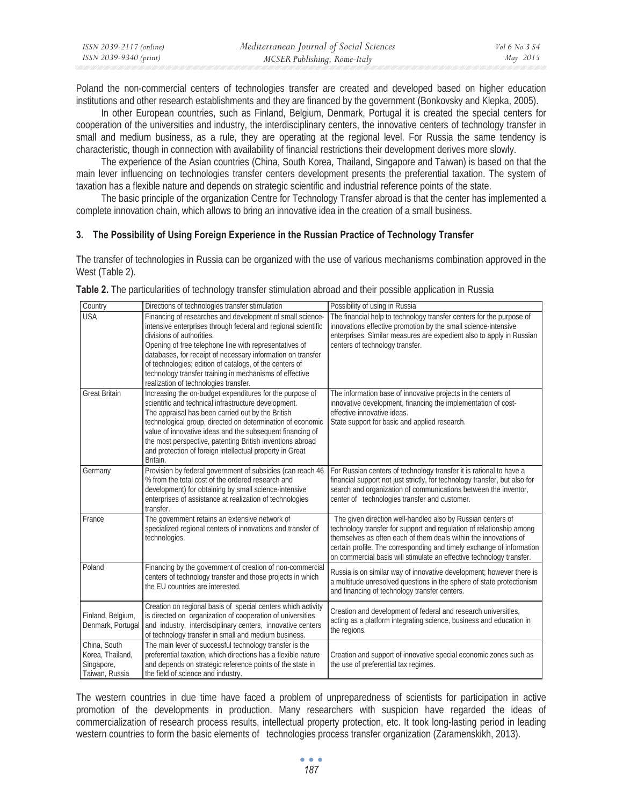| ISSN 2039-2117 (online) | Mediterranean Journal of Social Sciences | Vol 6 No 3 S4 |
|-------------------------|------------------------------------------|---------------|
| ISSN 2039-9340 (print)  | MCSER Publishing, Rome-Italy             | May 2015      |

Poland the non-commercial centers of technologies transfer are created and developed based on higher education institutions and other research establishments and they are financed by the government (Bonkovsky and Klepka, 2005).

In other European countries, such as Finland, Belgium, Denmark, Portugal it is created the special centers for cooperation of the universities and industry, the interdisciplinary centers, the innovative centers of technology transfer in small and medium business, as a rule, they are operating at the regional level. For Russia the same tendency is characteristic, though in connection with availability of financial restrictions their development derives more slowly.

The experience of the Asian countries (China, South Korea, Thailand, Singapore and Taiwan) is based on that the main lever influencing on technologies transfer centers development presents the preferential taxation. The system of taxation has a flexible nature and depends on strategic scientific and industrial reference points of the state.

The basic principle of the organization Centre for Technology Transfer abroad is that the center has implemented a complete innovation chain, which allows to bring an innovative idea in the creation of a small business.

## **3. The Possibility of Using Foreign Experience in the Russian Practice of Technology Transfer**

The transfer of technologies in Russia can be organized with the use of various mechanisms combination approved in the West (Table 2).

| Country                                                          | Directions of technologies transfer stimulation                                                                                                                                                                                                                                                                                                                                                                                                 | Possibility of using in Russia                                                                                                                                                                                                                                                                                                                           |
|------------------------------------------------------------------|-------------------------------------------------------------------------------------------------------------------------------------------------------------------------------------------------------------------------------------------------------------------------------------------------------------------------------------------------------------------------------------------------------------------------------------------------|----------------------------------------------------------------------------------------------------------------------------------------------------------------------------------------------------------------------------------------------------------------------------------------------------------------------------------------------------------|
| <b>USA</b>                                                       | Financing of researches and development of small science-<br>intensive enterprises through federal and regional scientific<br>divisions of authorities.<br>Opening of free telephone line with representatives of<br>databases, for receipt of necessary information on transfer<br>of technologies; edition of catalogs, of the centers of<br>technology transfer training in mechanisms of effective<br>realization of technologies transfer. | The financial help to technology transfer centers for the purpose of<br>innovations effective promotion by the small science-intensive<br>enterprises. Similar measures are expedient also to apply in Russian<br>centers of technology transfer.                                                                                                        |
| <b>Great Britain</b>                                             | Increasing the on-budget expenditures for the purpose of<br>scientific and technical infrastructure development.<br>The appraisal has been carried out by the British<br>technological group, directed on determination of economic<br>value of innovative ideas and the subsequent financing of<br>the most perspective, patenting British inventions abroad<br>and protection of foreign intellectual property in Great<br>Britain.           | The information base of innovative projects in the centers of<br>innovative development, financing the implementation of cost-<br>effective innovative ideas.<br>State support for basic and applied research.                                                                                                                                           |
| Germany                                                          | Provision by federal government of subsidies (can reach 46<br>% from the total cost of the ordered research and<br>development) for obtaining by small science-intensive<br>enterprises of assistance at realization of technologies<br>transfer.                                                                                                                                                                                               | For Russian centers of technology transfer it is rational to have a<br>financial support not just strictly, for technology transfer, but also for<br>search and organization of communications between the inventor,<br>center of technologies transfer and customer.                                                                                    |
| France                                                           | The government retains an extensive network of<br>specialized regional centers of innovations and transfer of<br>technologies.                                                                                                                                                                                                                                                                                                                  | The given direction well-handled also by Russian centers of<br>technology transfer for support and regulation of relationship among<br>themselves as often each of them deals within the innovations of<br>certain profile. The corresponding and timely exchange of information<br>on commercial basis will stimulate an effective technology transfer. |
| Poland                                                           | Financing by the government of creation of non-commercial<br>centers of technology transfer and those projects in which<br>the EU countries are interested.                                                                                                                                                                                                                                                                                     | Russia is on similar way of innovative development; however there is<br>a multitude unresolved questions in the sphere of state protectionism<br>and financing of technology transfer centers.                                                                                                                                                           |
| Finland, Belgium,<br>Denmark, Portugal                           | Creation on regional basis of special centers which activity<br>is directed on organization of cooperation of universities<br>and industry, interdisciplinary centers, innovative centers<br>of technology transfer in small and medium business.                                                                                                                                                                                               | Creation and development of federal and research universities,<br>acting as a platform integrating science, business and education in<br>the regions.                                                                                                                                                                                                    |
| China, South<br>Korea, Thailand,<br>Singapore,<br>Taiwan, Russia | The main lever of successful technology transfer is the<br>preferential taxation, which directions has a flexible nature<br>and depends on strategic reference points of the state in<br>the field of science and industry.                                                                                                                                                                                                                     | Creation and support of innovative special economic zones such as<br>the use of preferential tax regimes.                                                                                                                                                                                                                                                |

**Table 2.** The particularities of technology transfer stimulation abroad and their possible application in Russia

The western countries in due time have faced a problem of unpreparedness of scientists for participation in active promotion of the developments in production. Many researchers with suspicion have regarded the ideas of commercialization of research process results, intellectual property protection, etc. It took long-lasting period in leading western countries to form the basic elements of technologies process transfer organization (Zaramenskikh, 2013).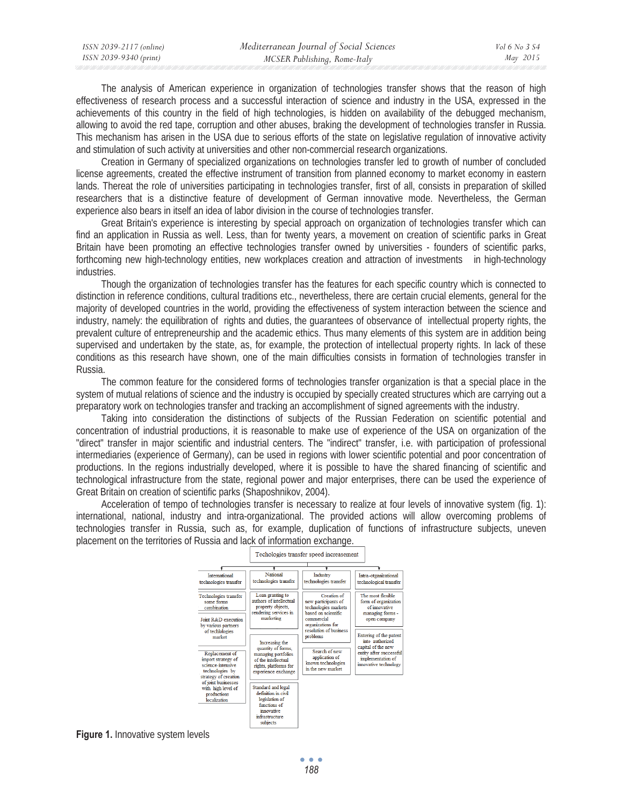| ISSN 2039-2117 (online) | Mediterranean Journal of Social Sciences | Vol 6 No 3 S4 |
|-------------------------|------------------------------------------|---------------|
| ISSN 2039-9340 (print)  | MCSER Publishing, Rome-Italy             | May 2015      |
|                         |                                          |               |

The analysis of American experience in organization of technologies transfer shows that the reason of high effectiveness of research process and a successful interaction of science and industry in the USA, expressed in the achievements of this country in the field of high technologies, is hidden on availability of the debugged mechanism, allowing to avoid the red tape, corruption and other abuses, braking the development of technologies transfer in Russia. This mechanism has arisen in the USA due to serious efforts of the state on legislative regulation of innovative activity and stimulation of such activity at universities and other non-commercial research organizations.

Creation in Germany of specialized organizations on technologies transfer led to growth of number of concluded license agreements, created the effective instrument of transition from planned economy to market economy in eastern lands. Thereat the role of universities participating in technologies transfer, first of all, consists in preparation of skilled researchers that is a distinctive feature of development of German innovative mode. Nevertheless, the German experience also bears in itself an idea of labor division in the course of technologies transfer.

Great Britain's experience is interesting by special approach on organization of technologies transfer which can find an application in Russia as well. Less, than for twenty years, a movement on creation of scientific parks in Great Britain have been promoting an effective technologies transfer owned by universities - founders of scientific parks, forthcoming new high-technology entities, new workplaces creation and attraction of investments in high-technology industries.

Though the organization of technologies transfer has the features for each specific country which is connected to distinction in reference conditions, cultural traditions etc., nevertheless, there are certain crucial elements, general for the majority of developed countries in the world, providing the effectiveness of system interaction between the science and industry, namely: the equilibration of rights and duties, the guarantees of observance of intellectual property rights, the prevalent culture of entrepreneurship and the academic ethics. Thus many elements of this system are in addition being supervised and undertaken by the state, as, for example, the protection of intellectual property rights. In lack of these conditions as this research have shown, one of the main difficulties consists in formation of technologies transfer in Russia.

The common feature for the considered forms of technologies transfer organization is that a special place in the system of mutual relations of science and the industry is occupied by specially created structures which are carrying out a preparatory work on technologies transfer and tracking an accomplishment of signed agreements with the industry.

Taking into consideration the distinctions of subjects of the Russian Federation on scientific potential and concentration of industrial productions, it is reasonable to make use of experience of the USA on organization of the "direct" transfer in major scientific and industrial centers. The "indirect" transfer, i.e. with participation of professional intermediaries (experience of Germany), can be used in regions with lower scientific potential and poor concentration of productions. In the regions industrially developed, where it is possible to have the shared financing of scientific and technological infrastructure from the state, regional power and major enterprises, there can be used the experience of Great Britain on creation of scientific parks (Shaposhnikov, 2004).

Acceleration of tempo of technologies transfer is necessary to realize at four levels of innovative system (fig. 1): international, national, industry and intra-organizational. The provided actions will allow overcoming problems of technologies transfer in Russia, such as, for example, duplication of functions of infrastructure subjects, uneven placement on the territories of Russia and lack of information exchange.



**Figure 1.** Innovative system levels